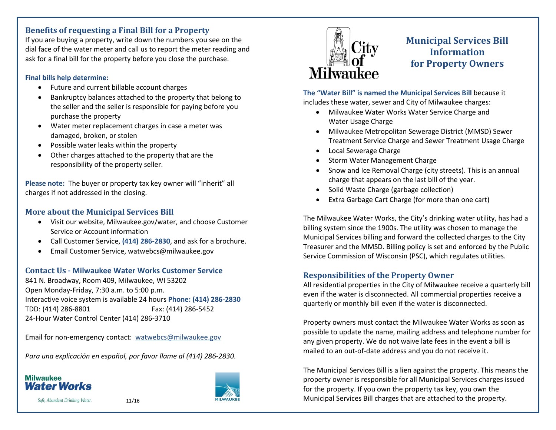## **Benefits of requesting a Final Bill for a Property**

If you are buying a property, write down the numbers you see on the dial face of the water meter and call us to report the meter reading and ask for a final bill for the property before you close the purchase.

#### **Final bills help determine:**

- Future and current billable account charges
- Bankruptcy balances attached to the property that belong to the seller and the seller is responsible for paying before you purchase the property
- Water meter replacement charges in case a meter was damaged, broken, or stolen
- Possible water leaks within the property
- Other charges attached to the property that are the responsibility of the property seller.

**Please note:** The buyer or property tax key owner will "inherit" all charges if not addressed in the closing.

# **More about the Municipal Services Bill**

- Visit our website, Milwaukee.gov/water, and choose Customer Service or Account information
- Call Customer Service, **(414) 286-2830**, and ask for a brochure.
- Email Customer Service, watwebcs@milwaukee.gov

# **Contact Us - Milwaukee Water Works Customer Service**

841 N. Broadway, Room 409, Milwaukee, WI 53202 Open Monday-Friday, 7:30 a.m. to 5:00 p.m. Interactive voice system is available 24 hours **Phone: (414) 286-2830** TDD: (414) 286-8801 Fax: (414) 286-5452 24-Hour Water Control Center (414) 286-3710

Email for non-emergency contact: [watwebcs@milwaukee.gov](mailto:watwebcs@milwaukee.gov)

*Para una explicación en español, por favor llame al (414) 286-2830.*

# **Milwaukee Water Works**







# **Municipal Services Bill Information for Property Owners**

**The "Water Bill" is named the Municipal Services Bill** because it includes these water, sewer and City of Milwaukee charges:

- Milwaukee Water Works Water Service Charge and Water Usage Charge
- Milwaukee Metropolitan Sewerage District (MMSD) Sewer Treatment Service Charge and Sewer Treatment Usage Charge
- Local Sewerage Charge
- Storm Water Management Charge
- Snow and Ice Removal Charge (city streets). This is an annual charge that appears on the last bill of the year.
- Solid Waste Charge (garbage collection)
- Extra Garbage Cart Charge (for more than one cart)

The Milwaukee Water Works, the City's drinking water utility, has had a billing system since the 1900s. The utility was chosen to manage the Municipal Services billing and forward the collected charges to the City Treasurer and the MMSD. Billing policy is set and enforced by the Public Service Commission of Wisconsin (PSC), which regulates utilities.

## **Responsibilities of the Property Owner**

All residential properties in the City of Milwaukee receive a quarterly bill even if the water is disconnected. All commercial properties receive a quarterly or monthly bill even if the water is disconnected.

Property owners must contact the Milwaukee Water Works as soon as possible to update the name, mailing address and telephone number for any given property. We do not waive late fees in the event a bill is mailed to an out-of-date address and you do not receive it.

The Municipal Services Bill is a lien against the property. This means the property owner is responsible for all Municipal Services charges issued for the property. If you own the property tax key, you own the Municipal Services Bill charges that are attached to the property.